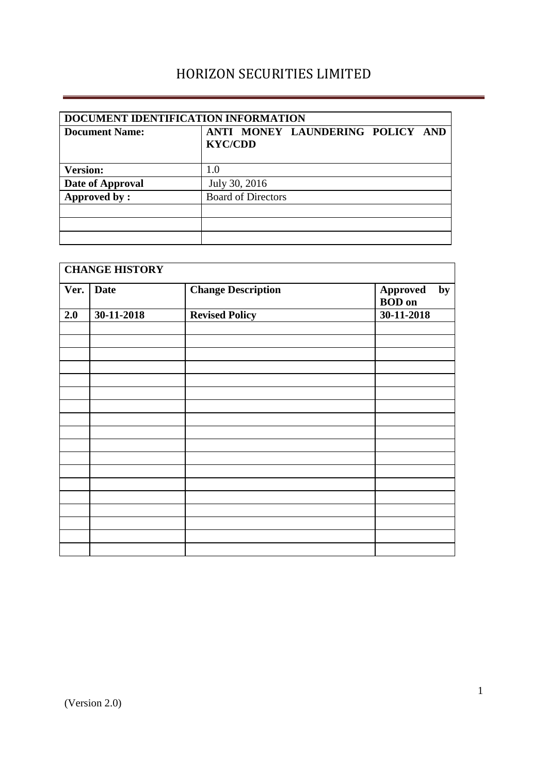| DOCUMENT IDENTIFICATION INFORMATION |                                                    |  |  |  |  |
|-------------------------------------|----------------------------------------------------|--|--|--|--|
| <b>Document Name:</b>               | ANTI MONEY LAUNDERING POLICY AND<br><b>KYC/CDD</b> |  |  |  |  |
| <b>Version:</b>                     | 1.0                                                |  |  |  |  |
| Date of Approval                    | July 30, 2016                                      |  |  |  |  |
| Approved by:                        | <b>Board of Directors</b>                          |  |  |  |  |
|                                     |                                                    |  |  |  |  |
|                                     |                                                    |  |  |  |  |
|                                     |                                                    |  |  |  |  |

| <b>CHANGE HISTORY</b> |             |                           |                           |    |  |
|-----------------------|-------------|---------------------------|---------------------------|----|--|
| Ver.                  | <b>Date</b> | <b>Change Description</b> | Approved<br><b>BOD</b> on | by |  |
| 2.0                   | 30-11-2018  | <b>Revised Policy</b>     | 30-11-2018                |    |  |
|                       |             |                           |                           |    |  |
|                       |             |                           |                           |    |  |
|                       |             |                           |                           |    |  |
|                       |             |                           |                           |    |  |
|                       |             |                           |                           |    |  |
|                       |             |                           |                           |    |  |
|                       |             |                           |                           |    |  |
|                       |             |                           |                           |    |  |
|                       |             |                           |                           |    |  |
|                       |             |                           |                           |    |  |
|                       |             |                           |                           |    |  |
|                       |             |                           |                           |    |  |
|                       |             |                           |                           |    |  |
|                       |             |                           |                           |    |  |
|                       |             |                           |                           |    |  |
|                       |             |                           |                           |    |  |
|                       |             |                           |                           |    |  |
|                       |             |                           |                           |    |  |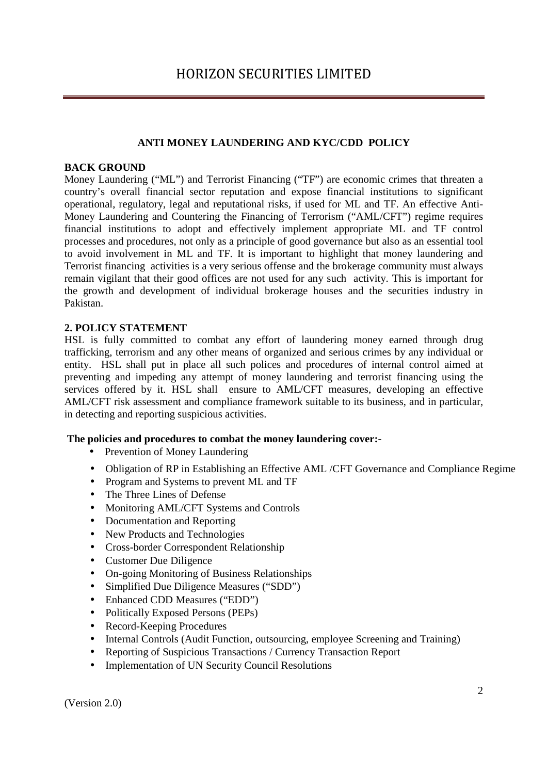# **ANTI MONEY LAUNDERING AND KYC/CDD POLICY**

## **BACK GROUND**

Money Laundering ("ML") and Terrorist Financing ("TF") are economic crimes that threaten a country's overall financial sector reputation and expose financial institutions to significant operational, regulatory, legal and reputational risks, if used for ML and TF. An effective Anti-Money Laundering and Countering the Financing of Terrorism ("AML/CFT") regime requires financial institutions to adopt and effectively implement appropriate ML and TF control processes and procedures, not only as a principle of good governance but also as an essential tool to avoid involvement in ML and TF. It is important to highlight that money laundering and Terrorist financing activities is a very serious offense and the brokerage community must always remain vigilant that their good offices are not used for any such activity. This is important for the growth and development of individual brokerage houses and the securities industry in Pakistan.

## **2. POLICY STATEMENT**

HSL is fully committed to combat any effort of laundering money earned through drug trafficking, terrorism and any other means of organized and serious crimes by any individual or entity. HSL shall put in place all such polices and procedures of internal control aimed at preventing and impeding any attempt of money laundering and terrorist financing using the services offered by it. HSL shall ensure to AML/CFT measures, developing an effective AML/CFT risk assessment and compliance framework suitable to its business, and in particular, in detecting and reporting suspicious activities.

### **The policies and procedures to combat the money laundering cover:-**

- Prevention of Money Laundering
- Obligation of RP in Establishing an Effective AML /CFT Governance and Compliance Regime
- Program and Systems to prevent ML and TF
- The Three Lines of Defense
- Monitoring AML/CFT Systems and Controls
- Documentation and Reporting
- New Products and Technologies
- Cross-border Correspondent Relationship
- Customer Due Diligence
- On-going Monitoring of Business Relationships
- Simplified Due Diligence Measures ("SDD")
- Enhanced CDD Measures ("EDD")
- Politically Exposed Persons (PEPs)
- Record-Keeping Procedures
- Internal Controls (Audit Function, outsourcing, employee Screening and Training)
- Reporting of Suspicious Transactions / Currency Transaction Report
- Implementation of UN Security Council Resolutions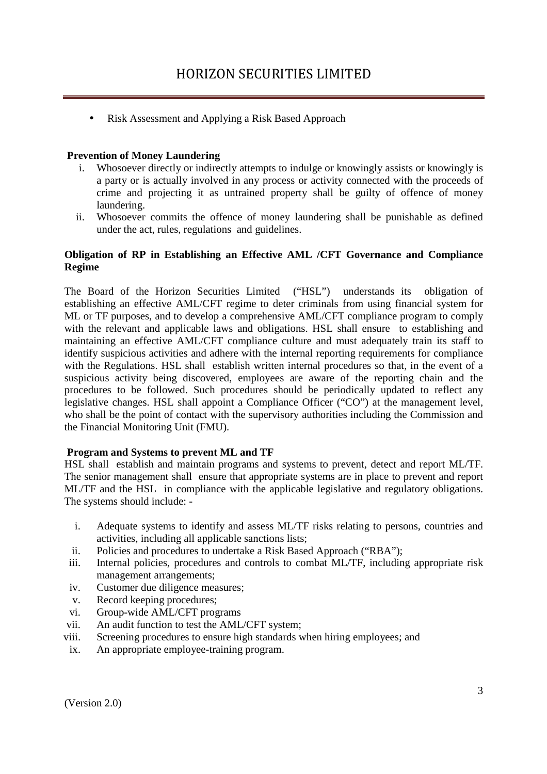• Risk Assessment and Applying a Risk Based Approach

## **Prevention of Money Laundering**

- i. Whosoever directly or indirectly attempts to indulge or knowingly assists or knowingly is a party or is actually involved in any process or activity connected with the proceeds of crime and projecting it as untrained property shall be guilty of offence of money laundering.
- ii. Whosoever commits the offence of money laundering shall be punishable as defined under the act, rules, regulations and guidelines.

## **Obligation of RP in Establishing an Effective AML /CFT Governance and Compliance Regime**

The Board of the Horizon Securities Limited ("HSL") understands its obligation of establishing an effective AML/CFT regime to deter criminals from using financial system for ML or TF purposes, and to develop a comprehensive AML/CFT compliance program to comply with the relevant and applicable laws and obligations. HSL shall ensure to establishing and maintaining an effective AML/CFT compliance culture and must adequately train its staff to identify suspicious activities and adhere with the internal reporting requirements for compliance with the Regulations. HSL shall establish written internal procedures so that, in the event of a suspicious activity being discovered, employees are aware of the reporting chain and the procedures to be followed. Such procedures should be periodically updated to reflect any legislative changes. HSL shall appoint a Compliance Officer ("CO") at the management level, who shall be the point of contact with the supervisory authorities including the Commission and the Financial Monitoring Unit (FMU).

### **Program and Systems to prevent ML and TF**

HSL shall establish and maintain programs and systems to prevent, detect and report ML/TF. The senior management shall ensure that appropriate systems are in place to prevent and report ML/TF and the HSL in compliance with the applicable legislative and regulatory obligations. The systems should include: -

- i. Adequate systems to identify and assess ML/TF risks relating to persons, countries and activities, including all applicable sanctions lists;
- ii. Policies and procedures to undertake a Risk Based Approach ("RBA");
- iii. Internal policies, procedures and controls to combat ML/TF, including appropriate risk management arrangements;
- iv. Customer due diligence measures;
- v. Record keeping procedures;
- vi. Group-wide AML/CFT programs
- vii. An audit function to test the AML/CFT system;
- viii. Screening procedures to ensure high standards when hiring employees; and
- ix. An appropriate employee-training program.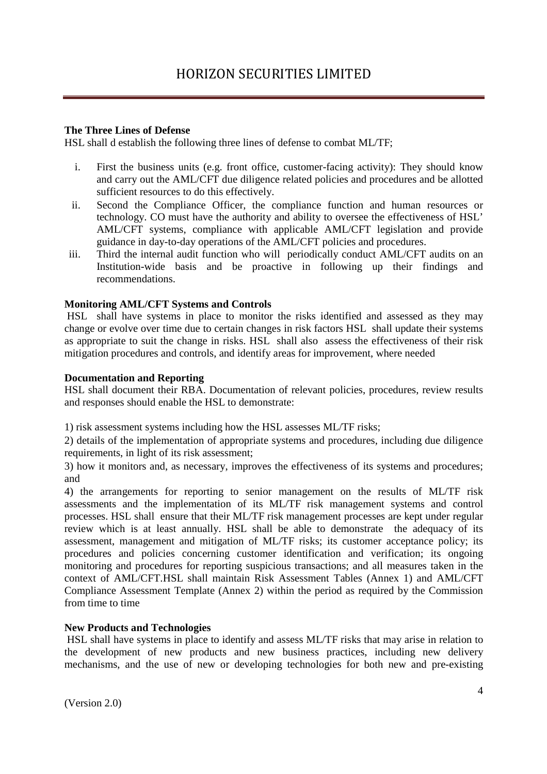## **The Three Lines of Defense**

HSL shall d establish the following three lines of defense to combat ML/TF;

- i. First the business units (e.g. front office, customer-facing activity): They should know and carry out the AML/CFT due diligence related policies and procedures and be allotted sufficient resources to do this effectively.
- ii. Second the Compliance Officer, the compliance function and human resources or technology. CO must have the authority and ability to oversee the effectiveness of HSL' AML/CFT systems, compliance with applicable AML/CFT legislation and provide guidance in day-to-day operations of the AML/CFT policies and procedures.
- iii. Third the internal audit function who will periodically conduct AML/CFT audits on an Institution-wide basis and be proactive in following up their findings and recommendations.

## **Monitoring AML/CFT Systems and Controls**

 HSL shall have systems in place to monitor the risks identified and assessed as they may change or evolve over time due to certain changes in risk factors HSL shall update their systems as appropriate to suit the change in risks. HSL shall also assess the effectiveness of their risk mitigation procedures and controls, and identify areas for improvement, where needed

### **Documentation and Reporting**

HSL shall document their RBA. Documentation of relevant policies, procedures, review results and responses should enable the HSL to demonstrate:

1) risk assessment systems including how the HSL assesses ML/TF risks;

2) details of the implementation of appropriate systems and procedures, including due diligence requirements, in light of its risk assessment;

3) how it monitors and, as necessary, improves the effectiveness of its systems and procedures; and

4) the arrangements for reporting to senior management on the results of ML/TF risk assessments and the implementation of its ML/TF risk management systems and control processes. HSL shall ensure that their ML/TF risk management processes are kept under regular review which is at least annually. HSL shall be able to demonstrate the adequacy of its assessment, management and mitigation of ML/TF risks; its customer acceptance policy; its procedures and policies concerning customer identification and verification; its ongoing monitoring and procedures for reporting suspicious transactions; and all measures taken in the context of AML/CFT.HSL shall maintain Risk Assessment Tables (Annex 1) and AML/CFT Compliance Assessment Template (Annex 2) within the period as required by the Commission from time to time

### **New Products and Technologies**

 HSL shall have systems in place to identify and assess ML/TF risks that may arise in relation to the development of new products and new business practices, including new delivery mechanisms, and the use of new or developing technologies for both new and pre-existing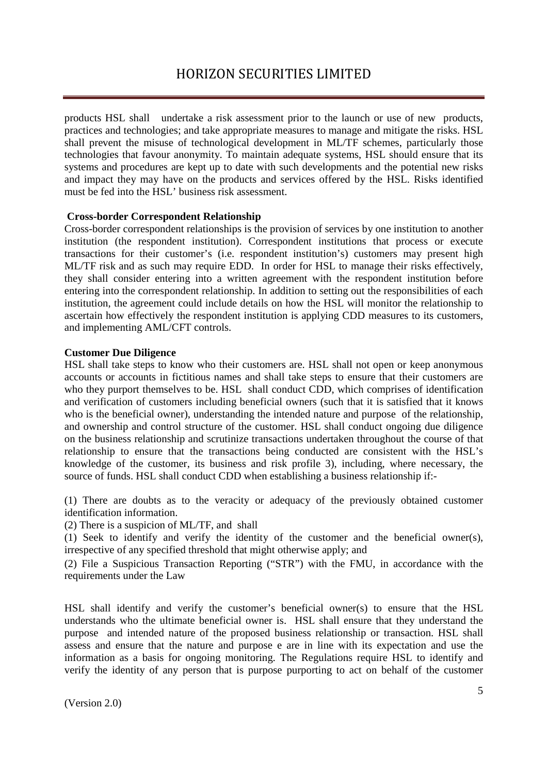products HSL shall undertake a risk assessment prior to the launch or use of new products, practices and technologies; and take appropriate measures to manage and mitigate the risks. HSL shall prevent the misuse of technological development in ML/TF schemes, particularly those technologies that favour anonymity. To maintain adequate systems, HSL should ensure that its systems and procedures are kept up to date with such developments and the potential new risks and impact they may have on the products and services offered by the HSL. Risks identified must be fed into the HSL' business risk assessment.

### **Cross-border Correspondent Relationship**

Cross-border correspondent relationships is the provision of services by one institution to another institution (the respondent institution). Correspondent institutions that process or execute transactions for their customer's (i.e. respondent institution's) customers may present high ML/TF risk and as such may require EDD. In order for HSL to manage their risks effectively, they shall consider entering into a written agreement with the respondent institution before entering into the correspondent relationship. In addition to setting out the responsibilities of each institution, the agreement could include details on how the HSL will monitor the relationship to ascertain how effectively the respondent institution is applying CDD measures to its customers, and implementing AML/CFT controls.

#### **Customer Due Diligence**

HSL shall take steps to know who their customers are. HSL shall not open or keep anonymous accounts or accounts in fictitious names and shall take steps to ensure that their customers are who they purport themselves to be. HSL shall conduct CDD, which comprises of identification and verification of customers including beneficial owners (such that it is satisfied that it knows who is the beneficial owner), understanding the intended nature and purpose of the relationship, and ownership and control structure of the customer. HSL shall conduct ongoing due diligence on the business relationship and scrutinize transactions undertaken throughout the course of that relationship to ensure that the transactions being conducted are consistent with the HSL's knowledge of the customer, its business and risk profile 3), including, where necessary, the source of funds. HSL shall conduct CDD when establishing a business relationship if:-

(1) There are doubts as to the veracity or adequacy of the previously obtained customer identification information.

(2) There is a suspicion of ML/TF, and shall

(1) Seek to identify and verify the identity of the customer and the beneficial owner(s), irrespective of any specified threshold that might otherwise apply; and

(2) File a Suspicious Transaction Reporting ("STR") with the FMU, in accordance with the requirements under the Law

HSL shall identify and verify the customer's beneficial owner(s) to ensure that the HSL understands who the ultimate beneficial owner is. HSL shall ensure that they understand the purpose and intended nature of the proposed business relationship or transaction. HSL shall assess and ensure that the nature and purpose e are in line with its expectation and use the information as a basis for ongoing monitoring. The Regulations require HSL to identify and verify the identity of any person that is purpose purporting to act on behalf of the customer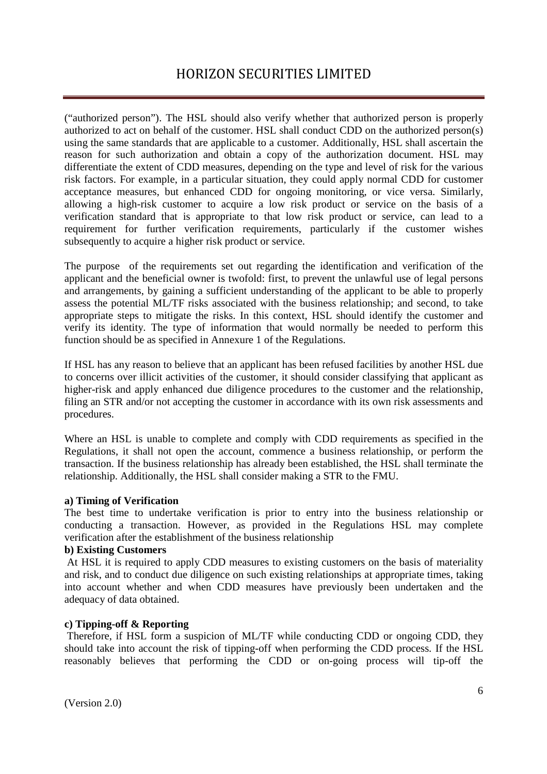("authorized person"). The HSL should also verify whether that authorized person is properly authorized to act on behalf of the customer. HSL shall conduct CDD on the authorized person(s) using the same standards that are applicable to a customer. Additionally, HSL shall ascertain the reason for such authorization and obtain a copy of the authorization document. HSL may differentiate the extent of CDD measures, depending on the type and level of risk for the various risk factors. For example, in a particular situation, they could apply normal CDD for customer acceptance measures, but enhanced CDD for ongoing monitoring, or vice versa. Similarly, allowing a high-risk customer to acquire a low risk product or service on the basis of a verification standard that is appropriate to that low risk product or service, can lead to a requirement for further verification requirements, particularly if the customer wishes subsequently to acquire a higher risk product or service.

The purpose of the requirements set out regarding the identification and verification of the applicant and the beneficial owner is twofold: first, to prevent the unlawful use of legal persons and arrangements, by gaining a sufficient understanding of the applicant to be able to properly assess the potential ML/TF risks associated with the business relationship; and second, to take appropriate steps to mitigate the risks. In this context, HSL should identify the customer and verify its identity. The type of information that would normally be needed to perform this function should be as specified in Annexure 1 of the Regulations.

If HSL has any reason to believe that an applicant has been refused facilities by another HSL due to concerns over illicit activities of the customer, it should consider classifying that applicant as higher-risk and apply enhanced due diligence procedures to the customer and the relationship, filing an STR and/or not accepting the customer in accordance with its own risk assessments and procedures.

Where an HSL is unable to complete and comply with CDD requirements as specified in the Regulations, it shall not open the account, commence a business relationship, or perform the transaction. If the business relationship has already been established, the HSL shall terminate the relationship. Additionally, the HSL shall consider making a STR to the FMU.

#### **a) Timing of Verification**

The best time to undertake verification is prior to entry into the business relationship or conducting a transaction. However, as provided in the Regulations HSL may complete verification after the establishment of the business relationship

## **b) Existing Customers**

 At HSL it is required to apply CDD measures to existing customers on the basis of materiality and risk, and to conduct due diligence on such existing relationships at appropriate times, taking into account whether and when CDD measures have previously been undertaken and the adequacy of data obtained.

### **c) Tipping-off & Reporting**

 Therefore, if HSL form a suspicion of ML/TF while conducting CDD or ongoing CDD, they should take into account the risk of tipping-off when performing the CDD process. If the HSL reasonably believes that performing the CDD or on-going process will tip-off the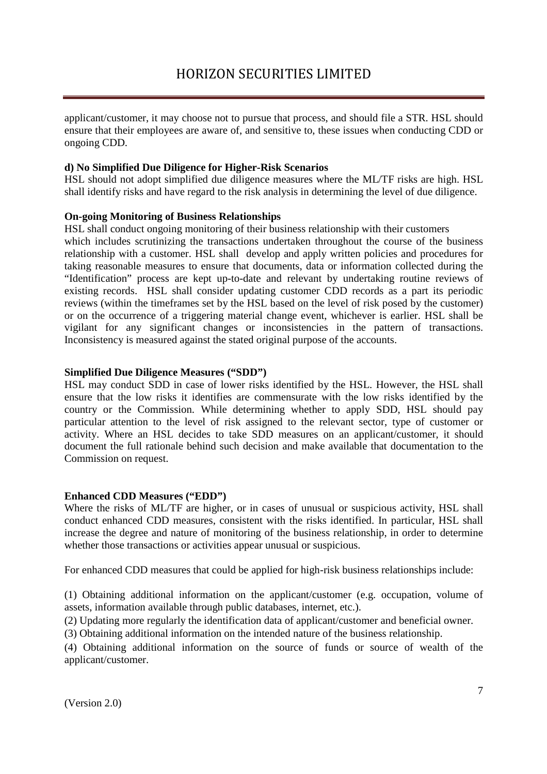applicant/customer, it may choose not to pursue that process, and should file a STR. HSL should ensure that their employees are aware of, and sensitive to, these issues when conducting CDD or ongoing CDD.

## **d) No Simplified Due Diligence for Higher-Risk Scenarios**

HSL should not adopt simplified due diligence measures where the ML/TF risks are high. HSL shall identify risks and have regard to the risk analysis in determining the level of due diligence.

## **On-going Monitoring of Business Relationships**

HSL shall conduct ongoing monitoring of their business relationship with their customers which includes scrutinizing the transactions undertaken throughout the course of the business relationship with a customer. HSL shall develop and apply written policies and procedures for taking reasonable measures to ensure that documents, data or information collected during the "Identification" process are kept up-to-date and relevant by undertaking routine reviews of existing records. HSL shall consider updating customer CDD records as a part its periodic reviews (within the timeframes set by the HSL based on the level of risk posed by the customer) or on the occurrence of a triggering material change event, whichever is earlier. HSL shall be vigilant for any significant changes or inconsistencies in the pattern of transactions. Inconsistency is measured against the stated original purpose of the accounts.

### **Simplified Due Diligence Measures ("SDD")**

HSL may conduct SDD in case of lower risks identified by the HSL. However, the HSL shall ensure that the low risks it identifies are commensurate with the low risks identified by the country or the Commission. While determining whether to apply SDD, HSL should pay particular attention to the level of risk assigned to the relevant sector, type of customer or activity. Where an HSL decides to take SDD measures on an applicant/customer, it should document the full rationale behind such decision and make available that documentation to the Commission on request.

### **Enhanced CDD Measures ("EDD")**

Where the risks of ML/TF are higher, or in cases of unusual or suspicious activity, HSL shall conduct enhanced CDD measures, consistent with the risks identified. In particular, HSL shall increase the degree and nature of monitoring of the business relationship, in order to determine whether those transactions or activities appear unusual or suspicious.

For enhanced CDD measures that could be applied for high-risk business relationships include:

(1) Obtaining additional information on the applicant/customer (e.g. occupation, volume of assets, information available through public databases, internet, etc.).

(2) Updating more regularly the identification data of applicant/customer and beneficial owner.

(3) Obtaining additional information on the intended nature of the business relationship.

(4) Obtaining additional information on the source of funds or source of wealth of the applicant/customer.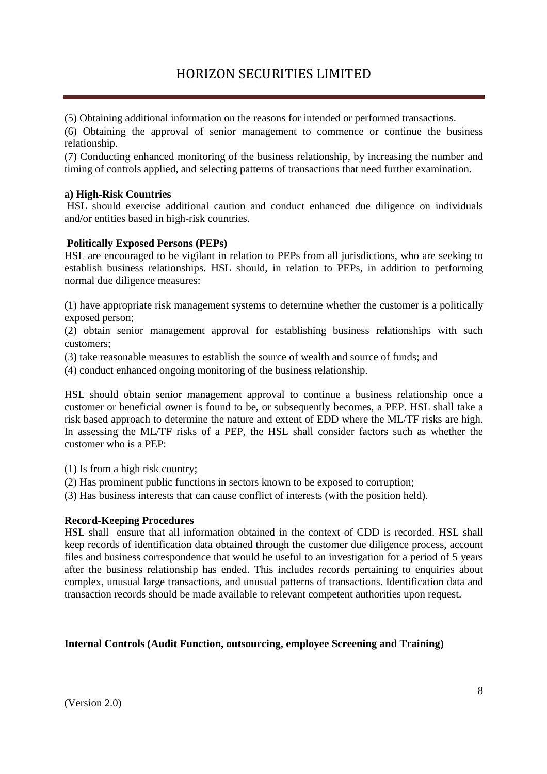(5) Obtaining additional information on the reasons for intended or performed transactions.

(6) Obtaining the approval of senior management to commence or continue the business relationship.

(7) Conducting enhanced monitoring of the business relationship, by increasing the number and timing of controls applied, and selecting patterns of transactions that need further examination.

### **a) High-Risk Countries**

 HSL should exercise additional caution and conduct enhanced due diligence on individuals and/or entities based in high-risk countries.

### **Politically Exposed Persons (PEPs)**

HSL are encouraged to be vigilant in relation to PEPs from all jurisdictions, who are seeking to establish business relationships. HSL should, in relation to PEPs, in addition to performing normal due diligence measures:

(1) have appropriate risk management systems to determine whether the customer is a politically exposed person;

(2) obtain senior management approval for establishing business relationships with such customers;

(3) take reasonable measures to establish the source of wealth and source of funds; and

(4) conduct enhanced ongoing monitoring of the business relationship.

HSL should obtain senior management approval to continue a business relationship once a customer or beneficial owner is found to be, or subsequently becomes, a PEP. HSL shall take a risk based approach to determine the nature and extent of EDD where the ML/TF risks are high. In assessing the ML/TF risks of a PEP, the HSL shall consider factors such as whether the customer who is a PEP:

(1) Is from a high risk country;

(2) Has prominent public functions in sectors known to be exposed to corruption;

(3) Has business interests that can cause conflict of interests (with the position held).

#### **Record-Keeping Procedures**

HSL shall ensure that all information obtained in the context of CDD is recorded. HSL shall keep records of identification data obtained through the customer due diligence process, account files and business correspondence that would be useful to an investigation for a period of 5 years after the business relationship has ended. This includes records pertaining to enquiries about complex, unusual large transactions, and unusual patterns of transactions. Identification data and transaction records should be made available to relevant competent authorities upon request.

### **Internal Controls (Audit Function, outsourcing, employee Screening and Training)**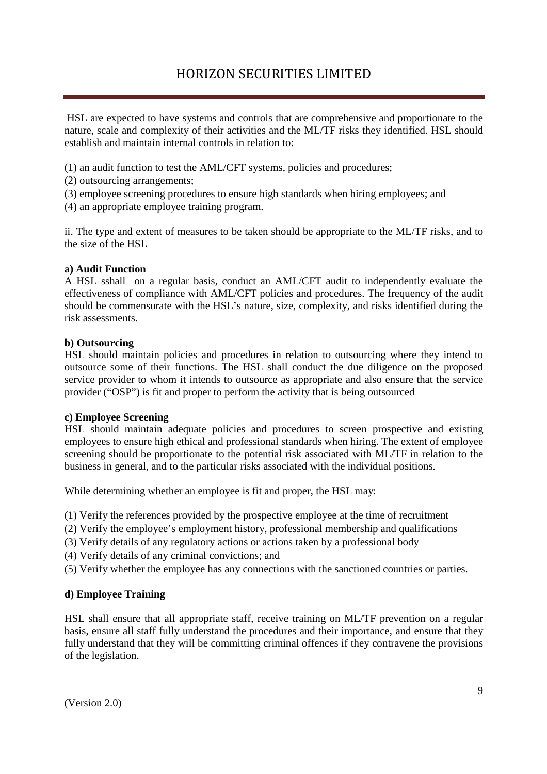HSL are expected to have systems and controls that are comprehensive and proportionate to the nature, scale and complexity of their activities and the ML/TF risks they identified. HSL should establish and maintain internal controls in relation to:

(1) an audit function to test the AML/CFT systems, policies and procedures;

- (2) outsourcing arrangements;
- (3) employee screening procedures to ensure high standards when hiring employees; and

(4) an appropriate employee training program.

ii. The type and extent of measures to be taken should be appropriate to the ML/TF risks, and to the size of the HSL

#### **a) Audit Function**

A HSL sshall on a regular basis, conduct an AML/CFT audit to independently evaluate the effectiveness of compliance with AML/CFT policies and procedures. The frequency of the audit should be commensurate with the HSL's nature, size, complexity, and risks identified during the risk assessments.

### **b) Outsourcing**

HSL should maintain policies and procedures in relation to outsourcing where they intend to outsource some of their functions. The HSL shall conduct the due diligence on the proposed service provider to whom it intends to outsource as appropriate and also ensure that the service provider ("OSP") is fit and proper to perform the activity that is being outsourced

#### **c) Employee Screening**

HSL should maintain adequate policies and procedures to screen prospective and existing employees to ensure high ethical and professional standards when hiring. The extent of employee screening should be proportionate to the potential risk associated with ML/TF in relation to the business in general, and to the particular risks associated with the individual positions.

While determining whether an employee is fit and proper, the HSL may:

(1) Verify the references provided by the prospective employee at the time of recruitment

- (2) Verify the employee's employment history, professional membership and qualifications
- (3) Verify details of any regulatory actions or actions taken by a professional body
- (4) Verify details of any criminal convictions; and

(5) Verify whether the employee has any connections with the sanctioned countries or parties.

### **d) Employee Training**

HSL shall ensure that all appropriate staff, receive training on ML/TF prevention on a regular basis, ensure all staff fully understand the procedures and their importance, and ensure that they fully understand that they will be committing criminal offences if they contravene the provisions of the legislation.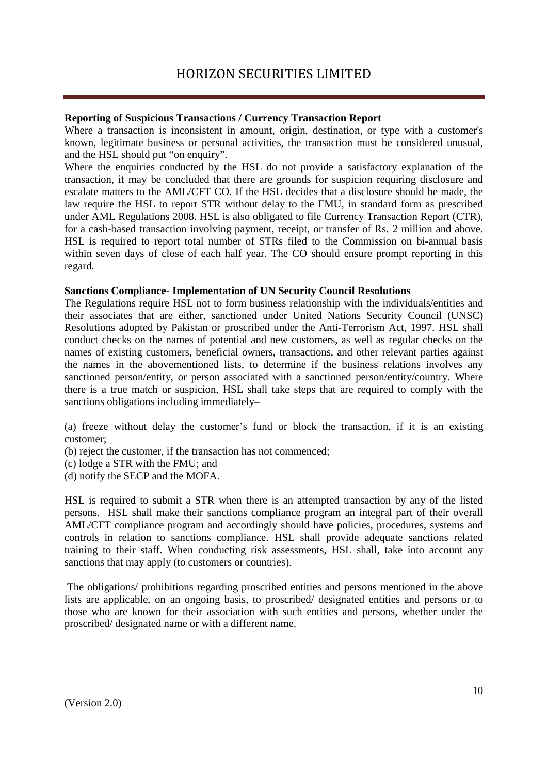## **Reporting of Suspicious Transactions / Currency Transaction Report**

Where a transaction is inconsistent in amount, origin, destination, or type with a customer's known, legitimate business or personal activities, the transaction must be considered unusual, and the HSL should put "on enquiry".

Where the enquiries conducted by the HSL do not provide a satisfactory explanation of the transaction, it may be concluded that there are grounds for suspicion requiring disclosure and escalate matters to the AML/CFT CO. If the HSL decides that a disclosure should be made, the law require the HSL to report STR without delay to the FMU, in standard form as prescribed under AML Regulations 2008. HSL is also obligated to file Currency Transaction Report (CTR), for a cash-based transaction involving payment, receipt, or transfer of Rs. 2 million and above. HSL is required to report total number of STRs filed to the Commission on bi-annual basis within seven days of close of each half year. The CO should ensure prompt reporting in this regard.

### **Sanctions Compliance- Implementation of UN Security Council Resolutions**

The Regulations require HSL not to form business relationship with the individuals/entities and their associates that are either, sanctioned under United Nations Security Council (UNSC) Resolutions adopted by Pakistan or proscribed under the Anti-Terrorism Act, 1997. HSL shall conduct checks on the names of potential and new customers, as well as regular checks on the names of existing customers, beneficial owners, transactions, and other relevant parties against the names in the abovementioned lists, to determine if the business relations involves any sanctioned person/entity, or person associated with a sanctioned person/entity/country. Where there is a true match or suspicion, HSL shall take steps that are required to comply with the sanctions obligations including immediately–

(a) freeze without delay the customer's fund or block the transaction, if it is an existing customer;

- (b) reject the customer, if the transaction has not commenced;
- (c) lodge a STR with the FMU; and
- (d) notify the SECP and the MOFA.

HSL is required to submit a STR when there is an attempted transaction by any of the listed persons. HSL shall make their sanctions compliance program an integral part of their overall AML/CFT compliance program and accordingly should have policies, procedures, systems and controls in relation to sanctions compliance. HSL shall provide adequate sanctions related training to their staff. When conducting risk assessments, HSL shall, take into account any sanctions that may apply (to customers or countries).

 The obligations/ prohibitions regarding proscribed entities and persons mentioned in the above lists are applicable, on an ongoing basis, to proscribed/ designated entities and persons or to those who are known for their association with such entities and persons, whether under the proscribed/ designated name or with a different name.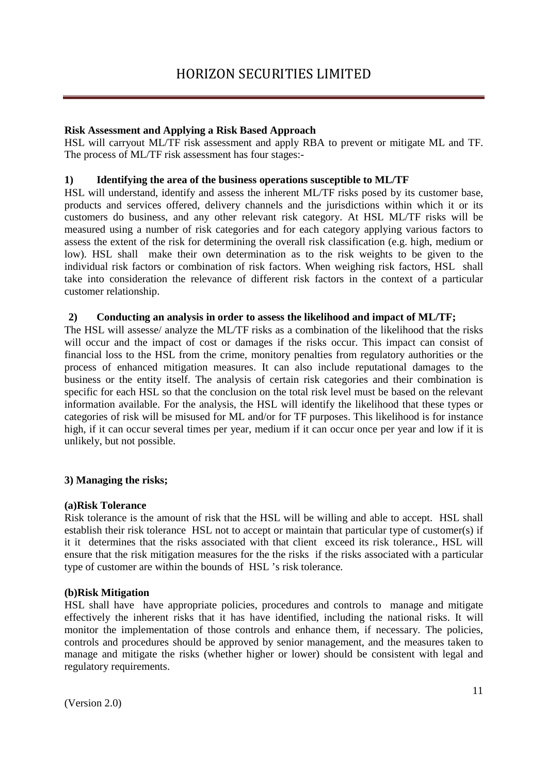## **Risk Assessment and Applying a Risk Based Approach**

HSL will carryout ML/TF risk assessment and apply RBA to prevent or mitigate ML and TF. The process of ML/TF risk assessment has four stages:-

## **1) Identifying the area of the business operations susceptible to ML/TF**

HSL will understand, identify and assess the inherent ML/TF risks posed by its customer base, products and services offered, delivery channels and the jurisdictions within which it or its customers do business, and any other relevant risk category. At HSL ML/TF risks will be measured using a number of risk categories and for each category applying various factors to assess the extent of the risk for determining the overall risk classification (e.g. high, medium or low). HSL shall make their own determination as to the risk weights to be given to the individual risk factors or combination of risk factors. When weighing risk factors, HSL shall take into consideration the relevance of different risk factors in the context of a particular customer relationship.

### **2) Conducting an analysis in order to assess the likelihood and impact of ML/TF;**

The HSL will assesse/ analyze the ML/TF risks as a combination of the likelihood that the risks will occur and the impact of cost or damages if the risks occur. This impact can consist of financial loss to the HSL from the crime, monitory penalties from regulatory authorities or the process of enhanced mitigation measures. It can also include reputational damages to the business or the entity itself. The analysis of certain risk categories and their combination is specific for each HSL so that the conclusion on the total risk level must be based on the relevant information available. For the analysis, the HSL will identify the likelihood that these types or categories of risk will be misused for ML and/or for TF purposes. This likelihood is for instance high, if it can occur several times per year, medium if it can occur once per year and low if it is unlikely, but not possible.

### **3) Managing the risks;**

#### **(a)Risk Tolerance**

Risk tolerance is the amount of risk that the HSL will be willing and able to accept. HSL shall establish their risk tolerance HSL not to accept or maintain that particular type of customer(s) if it it determines that the risks associated with that client exceed its risk tolerance., HSL will ensure that the risk mitigation measures for the the risks if the risks associated with a particular type of customer are within the bounds of HSL 's risk tolerance.

### **(b)Risk Mitigation**

HSL shall have have appropriate policies, procedures and controls to manage and mitigate effectively the inherent risks that it has have identified, including the national risks. It will monitor the implementation of those controls and enhance them, if necessary. The policies, controls and procedures should be approved by senior management, and the measures taken to manage and mitigate the risks (whether higher or lower) should be consistent with legal and regulatory requirements.